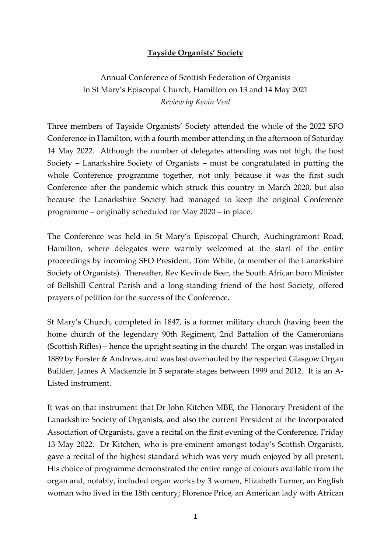## Tayside Organists' Society

Annual Conference of Scottish Federation of Organists In St Mary's Episcopal Church, Hamilton on 13 and 14 May 2021 Review by Kevin Veal

Three members of Tayside Organists' Society attended the whole of the 2022 SFO Conference in Hamilton, with a fourth member attending in the afternoon of Saturday 14 May 2022. Although the number of delegates attending was not high, the host Society – Lanarkshire Society of Organists – must be congratulated in putting the whole Conference programme together, not only because it was the first such Conference after the pandemic which struck this country in March 2020, but also because the Lanarkshire Society had managed to keep the original Conference programme – originally scheduled for May 2020 – in place.

The Conference was held in St Mary's Episcopal Church, Auchingramont Road, Hamilton, where delegates were warmly welcomed at the start of the entire proceedings by incoming SFO President, Tom White, (a member of the Lanarkshire Society of Organists). Thereafter, Rev Kevin de Beer, the South African born Minister of Bellshill Central Parish and a long-standing friend of the host Society, offered prayers of petition for the success of the Conference.

St Mary's Church, completed in 1847, is a former military church (having been the home church of the legendary 90th Regiment, 2nd Battalion of the Cameronians (Scottish Rifles) – hence the upright seating in the church! The organ was installed in 1889 by Forster & Andrews, and was last overhauled by the respected Glasgow Organ Builder, James A Mackenzie in 5 separate stages between 1999 and 2012. It is an A-Listed instrument.

It was on that instrument that Dr John Kitchen MBE, the Honorary President of the Lanarkshire Society of Organists, and also the current President of the Incorporated Association of Organists, gave a recital on the first evening of the Conference, Friday 13 May 2022. Dr Kitchen, who is pre-eminent amongst today's Scottish Organists, gave a recital of the highest standard which was very much enjoyed by all present. His choice of programme demonstrated the entire range of colours available from the organ and, notably, included organ works by 3 women, Elizabeth Turner, an English woman who lived in the 18th century; Florence Price, an American lady with African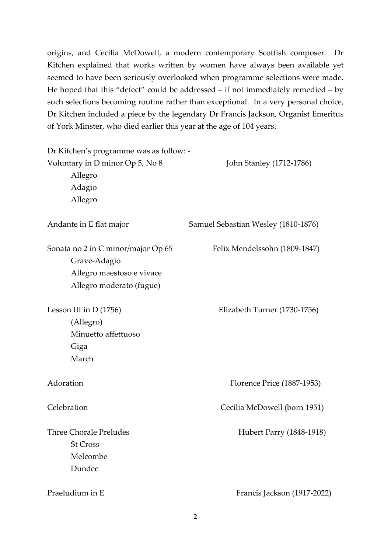origins, and Cecilia McDowell, a modern contemporary Scottish composer. Dr Kitchen explained that works written by women have always been available yet seemed to have been seriously overlooked when programme selections were made. He hoped that this "defect" could be addressed – if not immediately remedied – by such selections becoming routine rather than exceptional. In a very personal choice, Dr Kitchen included a piece by the legendary Dr Francis Jackson, Organist Emeritus of York Minster, who died earlier this year at the age of 104 years.

| Dr Kitchen's programme was as follow: - |                                     |
|-----------------------------------------|-------------------------------------|
| Voluntary in D minor Op 5, No 8         | John Stanley (1712-1786)            |
| Allegro                                 |                                     |
| Adagio                                  |                                     |
| Allegro                                 |                                     |
| Andante in E flat major                 | Samuel Sebastian Wesley (1810-1876) |
| Sonata no 2 in C minor/major Op 65      | Felix Mendelssohn (1809-1847)       |
| Grave-Adagio                            |                                     |
| Allegro maestoso e vivace               |                                     |
| Allegro moderato (fugue)                |                                     |
| Lesson III in D (1756)                  | Elizabeth Turner (1730-1756)        |
| (Allegro)                               |                                     |
| Minuetto affettuoso                     |                                     |
| Giga                                    |                                     |
| March                                   |                                     |
| Adoration                               | Florence Price (1887-1953)          |
| Celebration                             | Cecilia McDowell (born 1951)        |
| <b>Three Chorale Preludes</b>           | Hubert Parry (1848-1918)            |
| <b>St Cross</b>                         |                                     |
| Melcombe                                |                                     |
| Dundee                                  |                                     |
| Praeludium in E                         | Francis Jackson (1917-2022)         |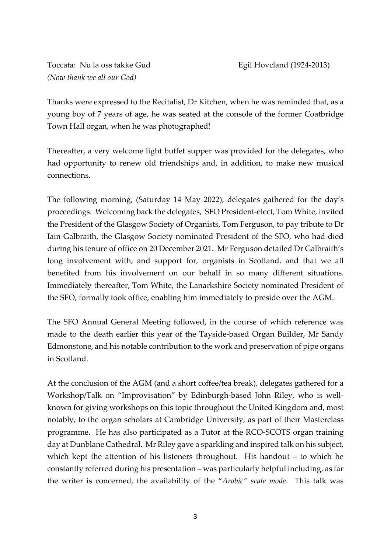Toccata: Nu la oss takke Gud Egil Hovcland (1924-2013) (Now thank we all our God)

Thanks were expressed to the Recitalist, Dr Kitchen, when he was reminded that, as a young boy of 7 years of age, he was seated at the console of the former Coatbridge Town Hall organ, when he was photographed!

Thereafter, a very welcome light buffet supper was provided for the delegates, who had opportunity to renew old friendships and, in addition, to make new musical connections.

The following morning, (Saturday 14 May 2022), delegates gathered for the day's proceedings. Welcoming back the delegates, SFO President-elect, Tom White, invited the President of the Glasgow Society of Organists, Tom Ferguson, to pay tribute to Dr Iain Galbraith, the Glasgow Society nominated President of the SFO, who had died during his tenure of office on 20 December 2021. Mr Ferguson detailed Dr Galbraith's long involvement with, and support for, organists in Scotland, and that we all benefited from his involvement on our behalf in so many different situations. Immediately thereafter, Tom White, the Lanarkshire Society nominated President of the SFO, formally took office, enabling him immediately to preside over the AGM.

The SFO Annual General Meeting followed, in the course of which reference was made to the death earlier this year of the Tayside-based Organ Builder, Mr Sandy Edmonstone, and his notable contribution to the work and preservation of pipe organs in Scotland.

At the conclusion of the AGM (and a short coffee/tea break), delegates gathered for a Workshop/Talk on "Improvisation" by Edinburgh-based John Riley, who is wellknown for giving workshops on this topic throughout the United Kingdom and, most notably, to the organ scholars at Cambridge University, as part of their Masterclass programme. He has also participated as a Tutor at the RCO-SCOTS organ training day at Dunblane Cathedral. Mr Riley gave a sparkling and inspired talk on his subject, which kept the attention of his listeners throughout. His handout – to which he constantly referred during his presentation – was particularly helpful including, as far the writer is concerned, the availability of the "Arabic" scale mode. This talk was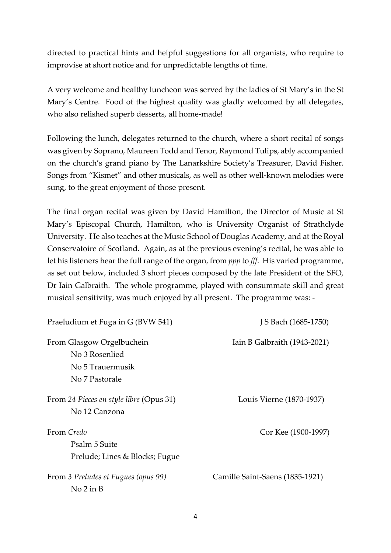directed to practical hints and helpful suggestions for all organists, who require to improvise at short notice and for unpredictable lengths of time.

A very welcome and healthy luncheon was served by the ladies of St Mary's in the St Mary's Centre. Food of the highest quality was gladly welcomed by all delegates, who also relished superb desserts, all home-made!

Following the lunch, delegates returned to the church, where a short recital of songs was given by Soprano, Maureen Todd and Tenor, Raymond Tulips, ably accompanied on the church's grand piano by The Lanarkshire Society's Treasurer, David Fisher. Songs from "Kismet" and other musicals, as well as other well-known melodies were sung, to the great enjoyment of those present.

The final organ recital was given by David Hamilton, the Director of Music at St Mary's Episcopal Church, Hamilton, who is University Organist of Strathclyde University. He also teaches at the Music School of Douglas Academy, and at the Royal Conservatoire of Scotland. Again, as at the previous evening's recital, he was able to let his listeners hear the full range of the organ, from *ppp* to fff. His varied programme, as set out below, included 3 short pieces composed by the late President of the SFO, Dr Iain Galbraith. The whole programme, played with consummate skill and great musical sensitivity, was much enjoyed by all present. The programme was: -

| Praeludium et Fuga in G (BVW 541)                                                 | J S Bach (1685-1750)            |
|-----------------------------------------------------------------------------------|---------------------------------|
| From Glasgow Orgelbuchein<br>No 3 Rosenlied<br>No 5 Trauermusik<br>No 7 Pastorale | Iain B Galbraith (1943-2021)    |
| From 24 Pieces en style libre (Opus 31)<br>No 12 Canzona                          | Louis Vierne (1870-1937)        |
| From Credo<br>Psalm 5 Suite<br>Prelude; Lines & Blocks; Fugue                     | Cor Kee (1900-1997)             |
| From 3 Preludes et Fugues (opus 99)<br>No 2 in B                                  | Camille Saint-Saens (1835-1921) |